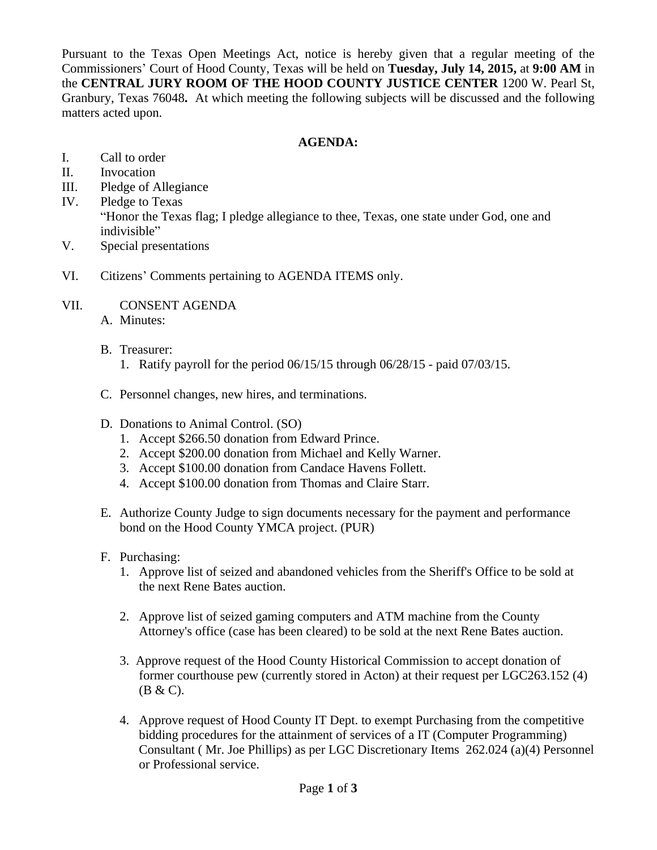Pursuant to the Texas Open Meetings Act, notice is hereby given that a regular meeting of the Commissioners' Court of Hood County, Texas will be held on **Tuesday, July 14, 2015,** at **9:00 AM** in the **CENTRAL JURY ROOM OF THE HOOD COUNTY JUSTICE CENTER** 1200 W. Pearl St, Granbury, Texas 76048**.** At which meeting the following subjects will be discussed and the following matters acted upon.

# **AGENDA:**

- I. Call to order
- II. Invocation
- III. Pledge of Allegiance
- IV. Pledge to Texas "Honor the Texas flag; I pledge allegiance to thee, Texas, one state under God, one and indivisible"
- V. Special presentations
- VI. Citizens' Comments pertaining to AGENDA ITEMS only.
- VII. CONSENT AGENDA
	- A. Minutes:
	- B. Treasurer:
		- 1. Ratify payroll for the period 06/15/15 through 06/28/15 paid 07/03/15.
	- C. Personnel changes, new hires, and terminations.
	- D. Donations to Animal Control. (SO)
		- 1. Accept \$266.50 donation from Edward Prince.
		- 2. Accept \$200.00 donation from Michael and Kelly Warner.
		- 3. Accept \$100.00 donation from Candace Havens Follett.
		- 4. Accept \$100.00 donation from Thomas and Claire Starr.
	- E. Authorize County Judge to sign documents necessary for the payment and performance bond on the Hood County YMCA project. (PUR)
	- F. Purchasing:
		- 1. Approve list of seized and abandoned vehicles from the Sheriff's Office to be sold at the next Rene Bates auction.
		- 2. Approve list of seized gaming computers and ATM machine from the County Attorney's office (case has been cleared) to be sold at the next Rene Bates auction.
		- 3. Approve request of the Hood County Historical Commission to accept donation of former courthouse pew (currently stored in Acton) at their request per LGC263.152 (4) (B & C).
		- 4. Approve request of Hood County IT Dept. to exempt Purchasing from the competitive bidding procedures for the attainment of services of a IT (Computer Programming) Consultant ( Mr. Joe Phillips) as per LGC Discretionary Items 262.024 (a)(4) Personnel or Professional service.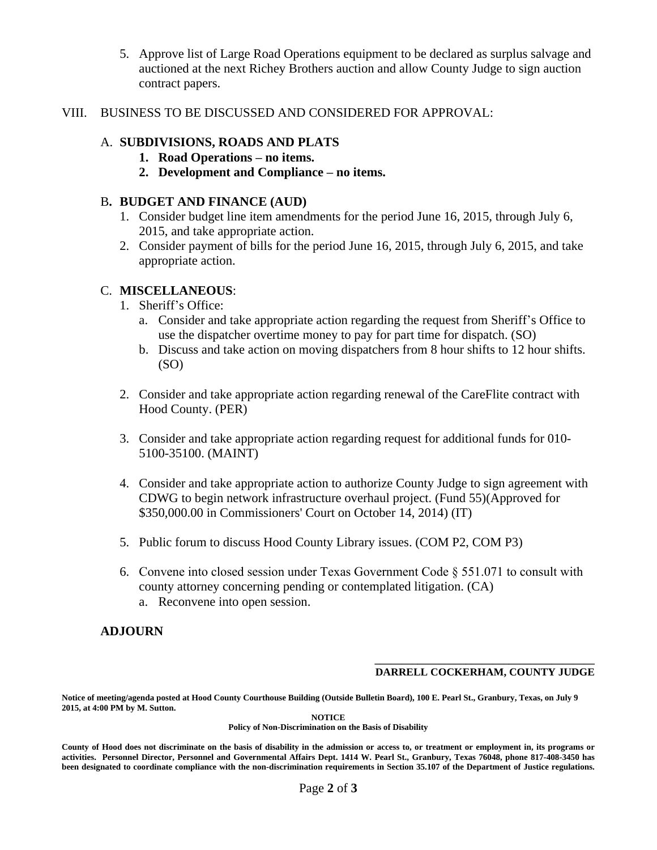- 5. Approve list of Large Road Operations equipment to be declared as surplus salvage and auctioned at the next Richey Brothers auction and allow County Judge to sign auction contract papers.
- VIII. BUSINESS TO BE DISCUSSED AND CONSIDERED FOR APPROVAL:

## A. **SUBDIVISIONS, ROADS AND PLATS**

- **1. Road Operations – no items.**
	- **2. Development and Compliance – no items.**

## B**. BUDGET AND FINANCE (AUD)**

- 1. Consider budget line item amendments for the period June 16, 2015, through July 6, 2015, and take appropriate action.
- 2. Consider payment of bills for the period June 16, 2015, through July 6, 2015, and take appropriate action.

## C. **MISCELLANEOUS**:

- 1. Sheriff's Office:
	- a. Consider and take appropriate action regarding the request from Sheriff's Office to use the dispatcher overtime money to pay for part time for dispatch. (SO)
	- b. Discuss and take action on moving dispatchers from 8 hour shifts to 12 hour shifts. (SO)
- 2. Consider and take appropriate action regarding renewal of the CareFlite contract with Hood County. (PER)
- 3. Consider and take appropriate action regarding request for additional funds for 010- 5100-35100. (MAINT)
- 4. Consider and take appropriate action to authorize County Judge to sign agreement with CDWG to begin network infrastructure overhaul project. (Fund 55)(Approved for \$350,000.00 in Commissioners' Court on October 14, 2014) (IT)
- 5. Public forum to discuss Hood County Library issues. (COM P2, COM P3)
- 6. Convene into closed session under Texas Government Code § 551.071 to consult with county attorney concerning pending or contemplated litigation. (CA) a. Reconvene into open session.

# **ADJOURN**

#### **\_\_\_\_\_\_\_\_\_\_\_\_\_\_\_\_\_\_\_\_\_\_\_\_\_\_\_\_\_\_\_\_\_\_\_\_\_\_\_\_\_ DARRELL COCKERHAM, COUNTY JUDGE**

**Notice of meeting/agenda posted at Hood County Courthouse Building (Outside Bulletin Board), 100 E. Pearl St., Granbury, Texas, on July 9 2015, at 4:00 PM by M. Sutton.**

**NOTICE**

**Policy of Non-Discrimination on the Basis of Disability**

County of Hood does not discriminate on the basis of disability in the admission or access to, or treatment or employment in, its programs or activities. Personnel Director, Personnel and Governmental Affairs Dept. 1414 W. Pearl St., Granbury, Texas 76048, phone 817-408-3450 has been designated to coordinate compliance with the non-discrimination requirements in Section 35.107 of the Department of Justice regulations.